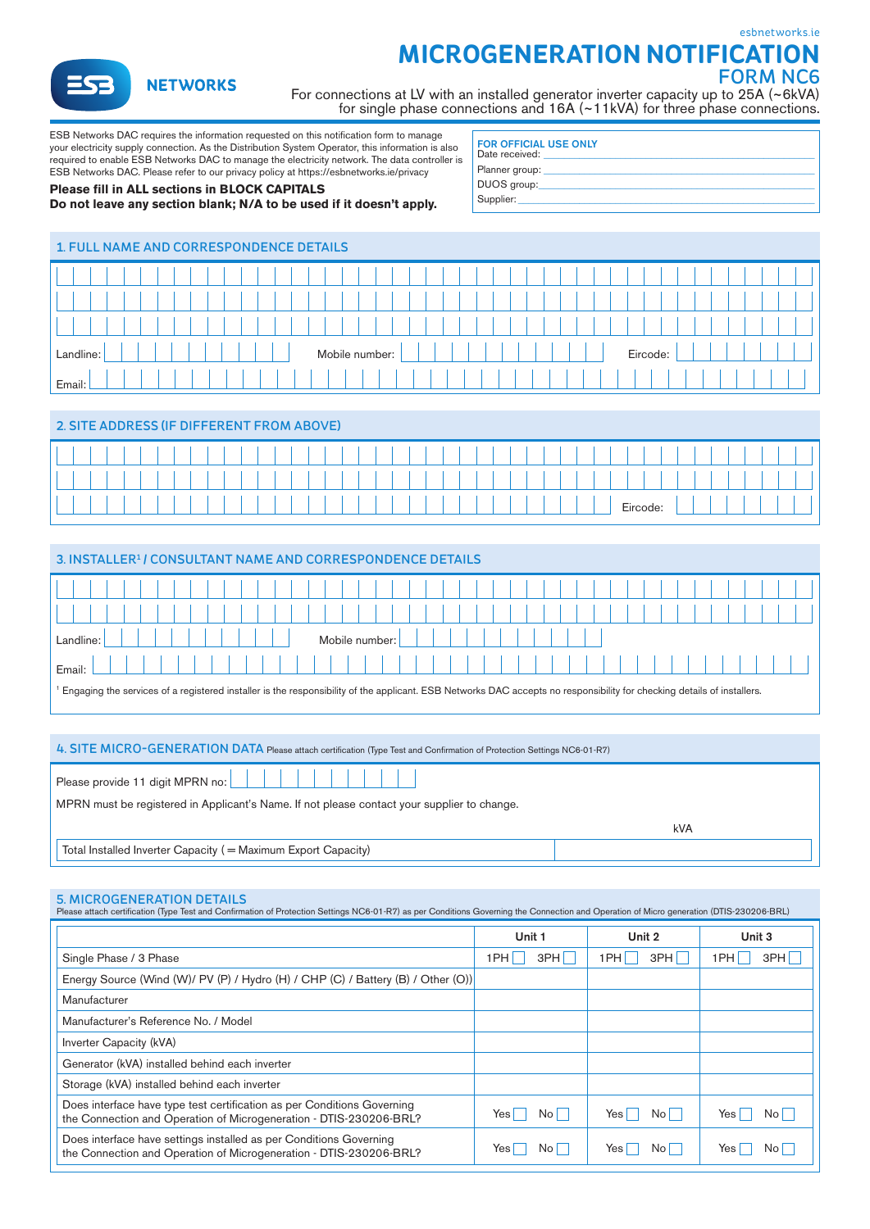[esbnetworks.ie](https://esbnetworks.ie)

**a** NETWORKS

# **MICROGENERATION NOTIFICATION**

FORM NC6

For connections at LV with an installed generator inverter capacity up to 25A (~6kVA) for single phase connections and 16A (~11kVA) for three phase connections.

ESB Networks DAC requires the information requested on this notifcation form to manage your electricity supply connection. As the Distribution System Operator, this information is also required to enable ESB Networks DAC to manage the electricity network. The data controller is ESB Networks DAC. Please refer to our privacy policy at<https://esbnetworks.ie/privacy>

## **Please fll in ALL sections in BLOCK CAPITALS**

### **Do not leave any section blank; N/A to be used if it doesn't apply.**

| <b>FOR OFFICIAL USE ONLY</b><br>Date received: |  |
|------------------------------------------------|--|
| Planner group:                                 |  |
| DUOS group:                                    |  |
| Supplier:                                      |  |
|                                                |  |

| <b>1. FULL NAME AND CORRESPONDENCE DETAILS</b> |  |  |  |  |  |  |  |  |  |  |  |  |  |
|------------------------------------------------|--|--|--|--|--|--|--|--|--|--|--|--|--|
|                                                |  |  |  |  |  |  |  |  |  |  |  |  |  |
|                                                |  |  |  |  |  |  |  |  |  |  |  |  |  |
|                                                |  |  |  |  |  |  |  |  |  |  |  |  |  |
| Mobile number:<br>Eircode:<br>Landline:        |  |  |  |  |  |  |  |  |  |  |  |  |  |
| Email:                                         |  |  |  |  |  |  |  |  |  |  |  |  |  |

## 2. SITE ADDRESS (IF DIFFERENT FROM ABOVE)

| 3. INSTALLER <sup>1</sup> / CONSULTANT NAME AND CORRESPONDENCE DETAILS                                                                                                              |  |  |  |  |  |  |  |  |  |  |  |
|-------------------------------------------------------------------------------------------------------------------------------------------------------------------------------------|--|--|--|--|--|--|--|--|--|--|--|
|                                                                                                                                                                                     |  |  |  |  |  |  |  |  |  |  |  |
|                                                                                                                                                                                     |  |  |  |  |  |  |  |  |  |  |  |
| Mobile number: I<br>Landline:                                                                                                                                                       |  |  |  |  |  |  |  |  |  |  |  |
| Email:                                                                                                                                                                              |  |  |  |  |  |  |  |  |  |  |  |
| <sup>1</sup> Engaging the services of a registered installer is the responsibility of the applicant. ESB Networks DAC accepts no responsibility for checking details of installers. |  |  |  |  |  |  |  |  |  |  |  |

#### 4. SITE MICRO-GENERATION DATA Please attach certifcation (Type Test and Confrmation of Protection Settings NC6-01-R7)

| Please provide 11 digit MPRN no:                                                            |     |
|---------------------------------------------------------------------------------------------|-----|
| MPRN must be registered in Applicant's Name. If not please contact your supplier to change. |     |
|                                                                                             |     |
|                                                                                             | kVA |
| Total Installed Inverter Capacity (= Maximum Export Capacity)                               |     |

## 5. MICROGENERATION DETAILS

| Please attach certification (Type Test and Confirmation of Protection Settings NC6-01-R7) as per Conditions Governing the Connection and Operation of Micro generation (DTIS-230206-BRL) |                                        |              |             |
|------------------------------------------------------------------------------------------------------------------------------------------------------------------------------------------|----------------------------------------|--------------|-------------|
|                                                                                                                                                                                          | Unit 1                                 | Unit 2       | Unit 3      |
| Single Phase / 3 Phase                                                                                                                                                                   | 3PH<br>1PH L                           | 3PH<br>1PH L | 3PH<br>1PH  |
| Energy Source (Wind (W)/ PV (P) / Hydro (H) / CHP (C) / Battery (B) / Other (O))                                                                                                         |                                        |              |             |
| Manufacturer                                                                                                                                                                             |                                        |              |             |
| Manufacturer's Reference No. / Model                                                                                                                                                     |                                        |              |             |
| Inverter Capacity (kVA)                                                                                                                                                                  |                                        |              |             |
| Generator (kVA) installed behind each inverter                                                                                                                                           |                                        |              |             |
| Storage (kVA) installed behind each inverter                                                                                                                                             |                                        |              |             |
| Does interface have type test certification as per Conditions Governing<br>the Connection and Operation of Microgeneration - DTIS-230206-BRL?                                            | Yes<br>$\overline{N}$ o $\overline{a}$ | No<br>Yes    | No I<br>Yes |
| Does interface have settings installed as per Conditions Governing<br>the Connection and Operation of Microgeneration - DTIS-230206-BRL?                                                 | Yes<br>No I                            | No II<br>Yes | No l<br>Yes |